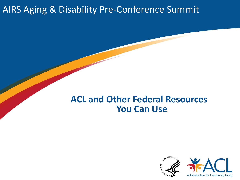#### AIRS Aging & Disability Pre-Conference Summit

#### **ACL and Other Federal Resources You Can Use**

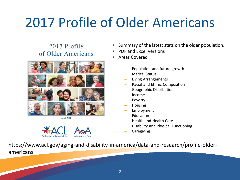## 2017 Profile of Older Americans

#### 2017 Profile of Older Americans



**April 2018** 



- Summary of the latest stats on the older population.
- PDF and Excel Versions
- Areas Covered
	- Population and future growth
	- Marital Status
	- Living Arrangements
	- Racial and Ethnic Composition
	- Geographic Distribution
	- Income
	- Poverty
	- Housing
	- **Employment**
	- **Education**
	- Health and Health Care
	- Disability and Physical Functioning
	- **Caregiving**

https://www.acl.gov/aging-and-disability-in-america/data-and-research/profile-olderamericans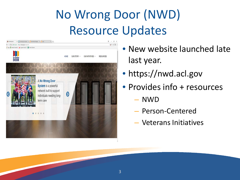## No Wrong Door (NWD) Resource Updates



- New website launched late last year.
- https://nwd.acl.gov
- Provides info + resources
	- NWD
	- Person-Centered
	- Veterans Initiatives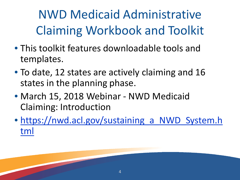NWD Medicaid Administrative Claiming Workbook and Toolkit

- This toolkit features downloadable tools and templates.
- To date, 12 states are actively claiming and 16 states in the planning phase.
- March 15, 2018 Webinar NWD Medicaid Claiming: Introduction
- https://nwd.acl.gov/sustaining a NWD System.h tml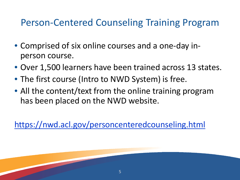#### Person-Centered Counseling Training Program

- Comprised of six online courses and a one-day inperson course.
- Over 1,500 learners have been trained across 13 states.
- The first course (Intro to NWD System) is free.
- All the content/text from the online training program has been placed on the NWD website.

<https://nwd.acl.gov/personcenteredcounseling.html>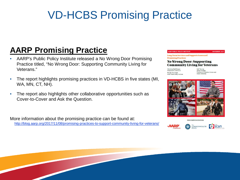### VD-HCBS Promising Practice

#### **AARP Promising Practice**

- AARP's Public Policy Institute released a No Wrong Door Promising Practice titled, "No Wrong Door: Supporting Community Living for Veterans."
- The report highlights promising practices in VD-HCBS in five states (MI, WA, MN, CT, NH).
- The report also highlights other collaborative opportunities such as Cover-to-Cover and Ask the Question.

More information about the promising practice can be found at: <http://blog.aarp.org/2017/11/08/promising-practices-to-support-community-living-for-veterans/>

#### **AARP PUBLIC POLICY INSTITUTE**

**NOVEMBER 2017** 

**Long-Term Services and Supports Scorecard Promising Practices** 

#### **No Wrong Door: Supporting Community Living for Veterans**

Christina Neill Bowen Independent Contractor Wendy Fox-Grage **AARP Public Policy Institute** 

Kali Thomas James Rudolph<br>Providence VA Medical Center and **Brown University** 



www.longtermscorecard.org



The<br>COMMONWEALTH<br>FUND **CP** scan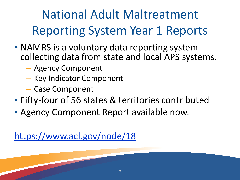## National Adult Maltreatment Reporting System Year 1 Reports

- NAMRS is a voluntary data reporting system collecting data from state and local APS systems.
	- Agency Component
	- Key Indicator Component
	- Case Component
- Fifty-four of 56 states & territories contributed
- Agency Component Report available now.

<https://www.acl.gov/node/18>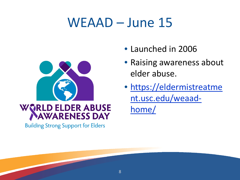### WEAAD – June 15



# WORLD ELDER ABUSE

**Building Strong Support for Elders** 

- Launched in 2006
- Raising awareness about elder abuse.
- [https://eldermistreatme](https://eldermistreatment.usc.edu/weaad-home/) nt.usc.edu/weaadhome/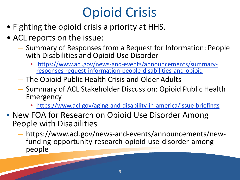## Opioid Crisis

- Fighting the opioid crisis a priority at HHS.
- ACL reports on the issue:
	- Summary of Responses from a Request for Information: People with Disabilities and Opioid Use Disorder
		- [https://www.acl.gov/news-and-events/announcements/summary-](https://www.acl.gov/news-and-events/announcements/summary-responses-request-information-people-disabilities-and-opioid) responses-request-information-people-disabilities-and-opioid
	- The Opioid Public Health Crisis and Older Adults
	- Summary of ACL Stakeholder Discussion: Opioid Public Health Emergency
		- <https://www.acl.gov/aging-and-disability-in-america/issue-briefings>
- New FOA for Research on Opioid Use Disorder Among People with Disabilities
	- https://www.acl.gov/news-and-events/announcements/new- funding-opportunity-research-opioid-use-disorder-among- people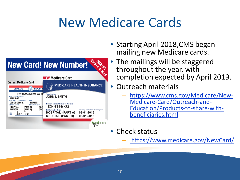## New Medicare Cards



- Starting April 2018, CMS began mailing new Medicare cards.
- The mailings will be staggered throughout the year, with completion expected by April 2019.
- Outreach materials
	- [https://www.cms.gov/Medicare/New-](https://www.cms.gov/Medicare/New-Medicare-Card/Outreach-and-Education/Products-to-share-with-beneficiaries.html)<br>Medicare-Card/Outreach-and-<br>Education/Products-to-share-with-<br>beneficiaries.html
- Check status
	- <https://www.medicare.gov/NewCard/>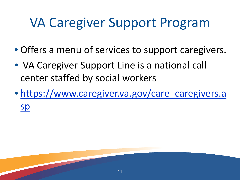## VA Caregiver Support Program

- Offers a menu of services to support caregivers.
- VA Caregiver Support Line is a national call center staffed by social workers
- [https://www.caregiver.va.gov/care\\_caregivers.a](https://www.caregiver.va.gov/care_caregivers.asp) sp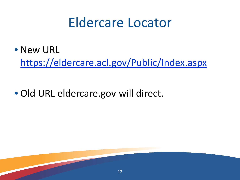### Eldercare Locator

• New URL

<https://eldercare.acl.gov/Public/Index.aspx>

12

• Old URL eldercare.gov will direct.